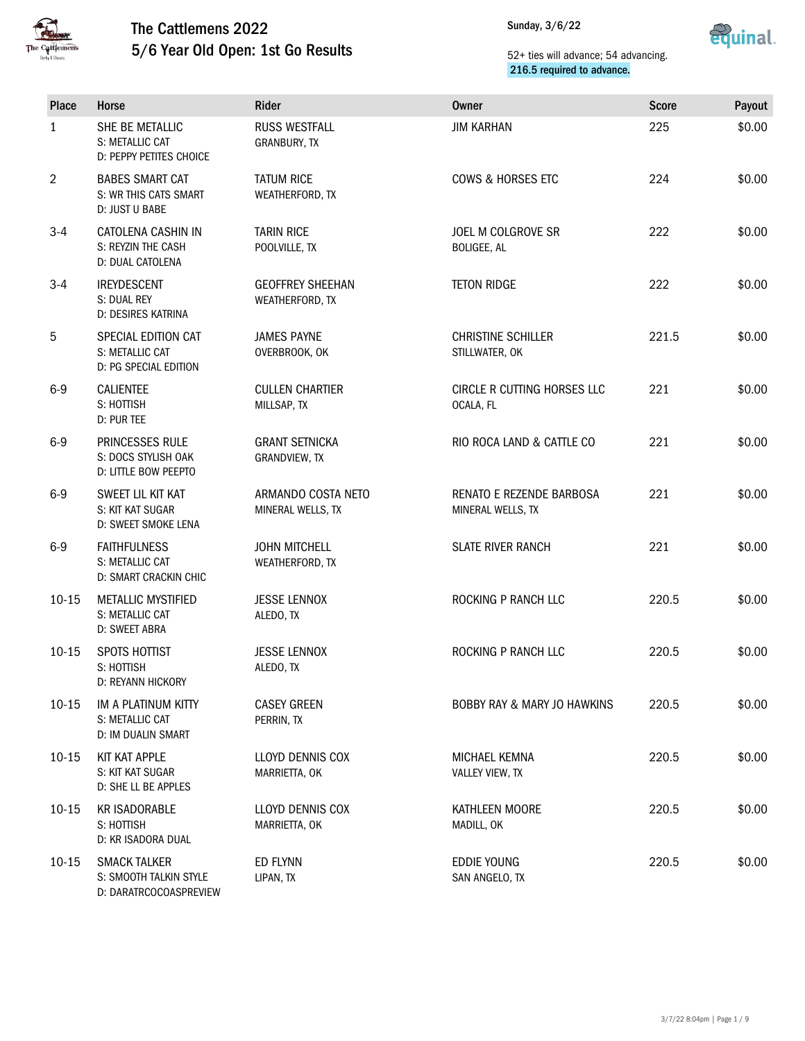



| <b>Place</b>   | Horse                                                                   | <b>Rider</b>                               | <b>Owner</b>                                    | <b>Score</b> | Payout |
|----------------|-------------------------------------------------------------------------|--------------------------------------------|-------------------------------------------------|--------------|--------|
| $\mathbf{1}$   | SHE BE METALLIC<br>S: METALLIC CAT<br>D: PEPPY PETITES CHOICE           | <b>RUSS WESTFALL</b><br>GRANBURY, TX       | <b>JIM KARHAN</b>                               | 225          | \$0.00 |
| $\overline{2}$ | <b>BABES SMART CAT</b><br>S: WR THIS CATS SMART<br>D: JUST U BABE       | <b>TATUM RICE</b><br>WEATHERFORD, TX       | <b>COWS &amp; HORSES ETC</b>                    | 224          | \$0.00 |
| $3-4$          | CATOLENA CASHIN IN<br>S: REYZIN THE CASH<br>D: DUAL CATOLENA            | <b>TARIN RICE</b><br>POOLVILLE, TX         | JOEL M COLGROVE SR<br><b>BOLIGEE, AL</b>        | 222          | \$0.00 |
| $3-4$          | <b>IREYDESCENT</b><br>S: DUAL REY<br>D: DESIRES KATRINA                 | <b>GEOFFREY SHEEHAN</b><br>WEATHERFORD, TX | <b>TETON RIDGE</b>                              | 222          | \$0.00 |
| 5              | SPECIAL EDITION CAT<br>S: METALLIC CAT<br>D: PG SPECIAL EDITION         | <b>JAMES PAYNE</b><br>OVERBROOK, OK        | <b>CHRISTINE SCHILLER</b><br>STILLWATER, OK     | 221.5        | \$0.00 |
| $6-9$          | <b>CALIENTEE</b><br>S: HOTTISH<br>D: PUR TEE                            | <b>CULLEN CHARTIER</b><br>MILLSAP, TX      | <b>CIRCLE R CUTTING HORSES LLC</b><br>OCALA, FL | 221          | \$0.00 |
| $6-9$          | PRINCESSES RULE<br>S: DOCS STYLISH OAK<br>D: LITTLE BOW PEEPTO          | <b>GRANT SETNICKA</b><br>GRANDVIEW, TX     | RIO ROCA LAND & CATTLE CO                       | 221          | \$0.00 |
| $6-9$          | SWEET LIL KIT KAT<br>S: KIT KAT SUGAR<br>D: SWEET SMOKE LENA            | ARMANDO COSTA NETO<br>MINERAL WELLS, TX    | RENATO E REZENDE BARBOSA<br>MINERAL WELLS, TX   | 221          | \$0.00 |
| $6-9$          | <b>FAITHFULNESS</b><br>S: METALLIC CAT<br>D: SMART CRACKIN CHIC         | <b>JOHN MITCHELL</b><br>WEATHERFORD, TX    | <b>SLATE RIVER RANCH</b>                        | 221          | \$0.00 |
| $10 - 15$      | <b>METALLIC MYSTIFIED</b><br>S: METALLIC CAT<br>D: SWEET ABRA           | <b>JESSE LENNOX</b><br>ALEDO, TX           | ROCKING P RANCH LLC                             | 220.5        | \$0.00 |
| $10 - 15$      | SPOTS HOTTIST<br>S: HOTTISH<br>D: REYANN HICKORY                        | <b>JESSE LENNOX</b><br>ALEDO, TX           | ROCKING P RANCH LLC                             | 220.5        | \$0.00 |
| $10 - 15$      | IM A PLATINUM KITTY<br>S: METALLIC CAT<br>D: IM DUALIN SMART            | <b>CASEY GREEN</b><br>PERRIN, TX           | <b>BOBBY RAY &amp; MARY JO HAWKINS</b>          | 220.5        | \$0.00 |
| $10 - 15$      | KIT KAT APPLE<br>S: KIT KAT SUGAR<br>D: SHE LL BE APPLES                | LLOYD DENNIS COX<br>MARRIETTA, OK          | MICHAEL KEMNA<br>VALLEY VIEW, TX                | 220.5        | \$0.00 |
| $10 - 15$      | <b>KR ISADORABLE</b><br>S: HOTTISH<br>D: KR ISADORA DUAL                | LLOYD DENNIS COX<br>MARRIETTA, OK          | KATHLEEN MOORE<br>MADILL, OK                    | 220.5        | \$0.00 |
| $10 - 15$      | <b>SMACK TALKER</b><br>S: SMOOTH TALKIN STYLE<br>D: DARATRCOCOASPREVIEW | ED FLYNN<br>LIPAN, TX                      | EDDIE YOUNG<br>SAN ANGELO, TX                   | 220.5        | \$0.00 |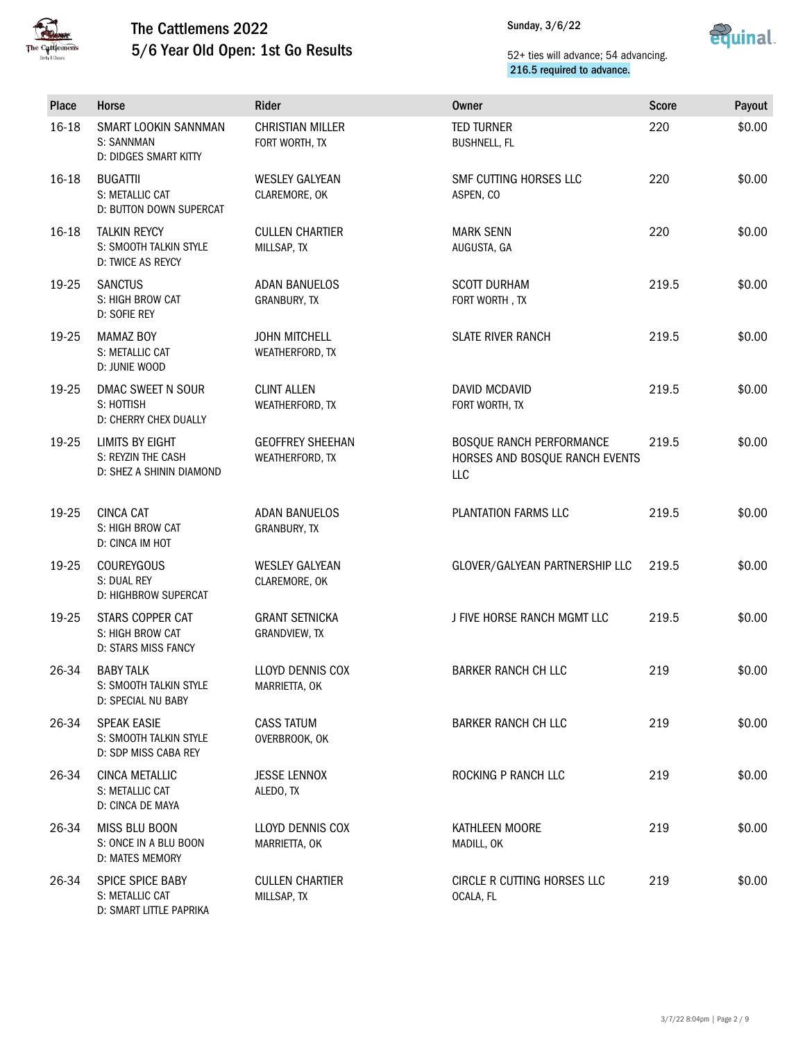



| Place   | Horse                                                                | Rider                                      | <b>Owner</b>                                                      | <b>Score</b> | Payout |
|---------|----------------------------------------------------------------------|--------------------------------------------|-------------------------------------------------------------------|--------------|--------|
| 16-18   | SMART LOOKIN SANNMAN<br>S: SANNMAN<br>D: DIDGES SMART KITTY          | <b>CHRISTIAN MILLER</b><br>FORT WORTH, TX  | <b>TED TURNER</b><br><b>BUSHNELL, FL</b>                          | 220          | \$0.00 |
| 16-18   | <b>BUGATTII</b><br>S: METALLIC CAT<br>D: BUTTON DOWN SUPERCAT        | <b>WESLEY GALYEAN</b><br>CLAREMORE, OK     | SMF CUTTING HORSES LLC<br>ASPEN, CO                               | 220          | \$0.00 |
| $16-18$ | <b>TALKIN REYCY</b><br>S: SMOOTH TALKIN STYLE<br>D: TWICE AS REYCY   | <b>CULLEN CHARTIER</b><br>MILLSAP, TX      | <b>MARK SENN</b><br>AUGUSTA, GA                                   | 220          | \$0.00 |
| 19-25   | <b>SANCTUS</b><br>S: HIGH BROW CAT<br>D: SOFIE REY                   | <b>ADAN BANUELOS</b><br>GRANBURY, TX       | <b>SCOTT DURHAM</b><br>FORT WORTH, TX                             | 219.5        | \$0.00 |
| 19-25   | <b>MAMAZ BOY</b><br>S: METALLIC CAT<br>D: JUNIE WOOD                 | <b>JOHN MITCHELL</b><br>WEATHERFORD, TX    | <b>SLATE RIVER RANCH</b>                                          | 219.5        | \$0.00 |
| 19-25   | DMAC SWEET N SOUR<br>S: HOTTISH<br>D: CHERRY CHEX DUALLY             | <b>CLINT ALLEN</b><br>WEATHERFORD, TX      | DAVID MCDAVID<br>FORT WORTH, TX                                   | 219.5        | \$0.00 |
| 19-25   | LIMITS BY EIGHT<br>S: REYZIN THE CASH<br>D: SHEZ A SHININ DIAMOND    | <b>GEOFFREY SHEEHAN</b><br>WEATHERFORD, TX | BOSQUE RANCH PERFORMANCE<br>HORSES AND BOSQUE RANCH EVENTS<br>LLC | 219.5        | \$0.00 |
| 19-25   | <b>CINCA CAT</b><br>S: HIGH BROW CAT<br>D: CINCA IM HOT              | <b>ADAN BANUELOS</b><br>GRANBURY, TX       | PLANTATION FARMS LLC                                              | 219.5        | \$0.00 |
| 19-25   | <b>COUREYGOUS</b><br>S: DUAL REY<br>D: HIGHBROW SUPERCAT             | <b>WESLEY GALYEAN</b><br>CLAREMORE, OK     | GLOVER/GALYEAN PARTNERSHIP LLC                                    | 219.5        | \$0.00 |
| 19-25   | STARS COPPER CAT<br>S: HIGH BROW CAT<br>D: STARS MISS FANCY          | <b>GRANT SETNICKA</b><br>GRANDVIEW, TX     | J FIVE HORSE RANCH MGMT LLC                                       | 219.5        | \$0.00 |
| 26-34   | <b>BABY TALK</b><br>S: SMOOTH TALKIN STYLE<br>D: SPECIAL NU BABY     | LLOYD DENNIS COX<br>MARRIETTA, OK          | <b>BARKER RANCH CH LLC</b>                                        | 219          | \$0.00 |
| 26-34   | <b>SPEAK EASIE</b><br>S: SMOOTH TALKIN STYLE<br>D: SDP MISS CABA REY | <b>CASS TATUM</b><br>OVERBROOK, OK         | <b>BARKER RANCH CH LLC</b>                                        | 219          | \$0.00 |
| 26-34   | CINCA METALLIC<br>S: METALLIC CAT<br>D: CINCA DE MAYA                | <b>JESSE LENNOX</b><br>ALEDO, TX           | ROCKING P RANCH LLC                                               | 219          | \$0.00 |
| 26-34   | MISS BLU BOON<br>S: ONCE IN A BLU BOON<br>D: MATES MEMORY            | LLOYD DENNIS COX<br>MARRIETTA, OK          | KATHLEEN MOORE<br>MADILL, OK                                      | 219          | \$0.00 |
| 26-34   | SPICE SPICE BABY<br>S: METALLIC CAT<br>D: SMART LITTLE PAPRIKA       | <b>CULLEN CHARTIER</b><br>MILLSAP, TX      | CIRCLE R CUTTING HORSES LLC<br>OCALA, FL                          | 219          | \$0.00 |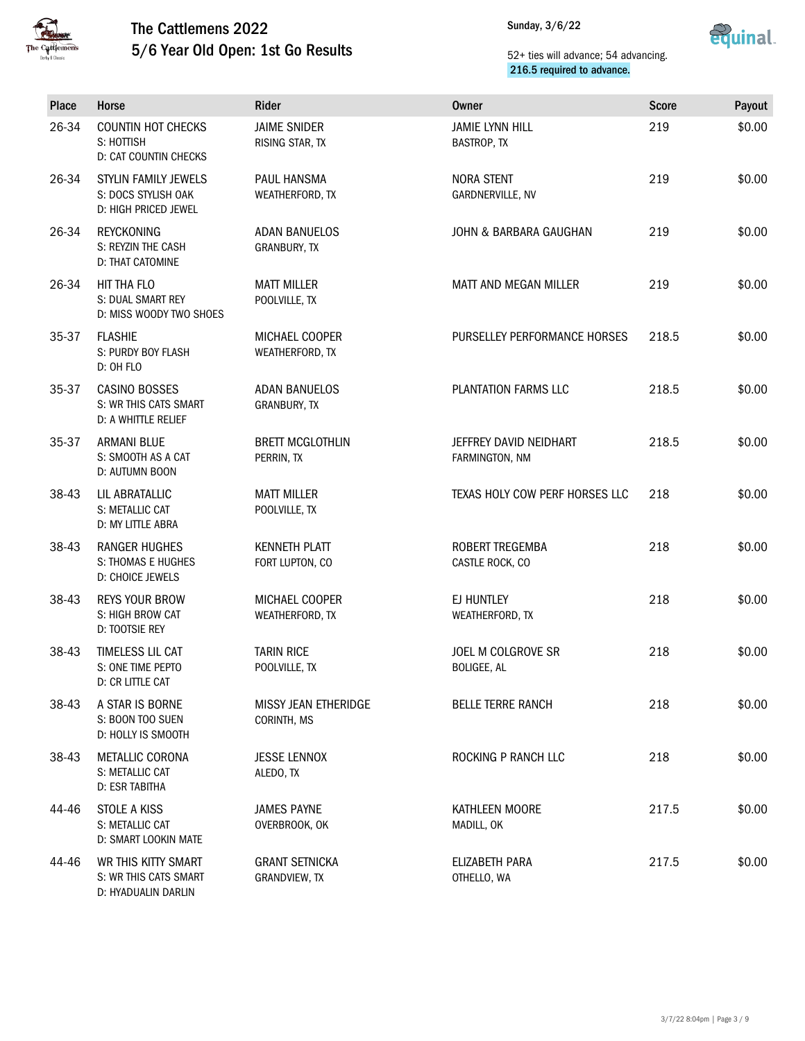



| <b>Place</b> | Horse                                                               | Rider                                      | <b>Owner</b>                             | <b>Score</b> | Payout |
|--------------|---------------------------------------------------------------------|--------------------------------------------|------------------------------------------|--------------|--------|
| 26-34        | <b>COUNTIN HOT CHECKS</b><br>S: HOTTISH<br>D: CAT COUNTIN CHECKS    | <b>JAIME SNIDER</b><br>RISING STAR, TX     | <b>JAMIE LYNN HILL</b><br>BASTROP, TX    | 219          | \$0.00 |
| 26-34        | STYLIN FAMILY JEWELS<br>S: DOCS STYLISH OAK<br>D: HIGH PRICED JEWEL | PAUL HANSMA<br>WEATHERFORD, TX             | <b>NORA STENT</b><br>GARDNERVILLE, NV    | 219          | \$0.00 |
| 26-34        | <b>REYCKONING</b><br>S: REYZIN THE CASH<br>D: THAT CATOMINE         | ADAN BANUELOS<br>GRANBURY, TX              | JOHN & BARBARA GAUGHAN                   | 219          | \$0.00 |
| 26-34        | HIT THA FLO<br>S: DUAL SMART REY<br>D: MISS WOODY TWO SHOES         | <b>MATT MILLER</b><br>POOLVILLE, TX        | MATT AND MEGAN MILLER                    | 219          | \$0.00 |
| 35-37        | <b>FLASHIE</b><br>S: PURDY BOY FLASH<br>D: OH FLO                   | MICHAEL COOPER<br>WEATHERFORD, TX          | PURSELLEY PERFORMANCE HORSES             | 218.5        | \$0.00 |
| 35-37        | CASINO BOSSES<br>S: WR THIS CATS SMART<br>D: A WHITTLE RELIEF       | <b>ADAN BANUELOS</b><br>GRANBURY, TX       | PLANTATION FARMS LLC                     | 218.5        | \$0.00 |
| 35-37        | <b>ARMANI BLUE</b><br>S: SMOOTH AS A CAT<br>D: AUTUMN BOON          | <b>BRETT MCGLOTHLIN</b><br>PERRIN, TX      | JEFFREY DAVID NEIDHART<br>FARMINGTON, NM | 218.5        | \$0.00 |
| 38-43        | LIL ABRATALLIC<br>S: METALLIC CAT<br>D: MY LITTLE ABRA              | <b>MATT MILLER</b><br>POOLVILLE, TX        | TEXAS HOLY COW PERF HORSES LLC           | 218          | \$0.00 |
| 38-43        | RANGER HUGHES<br>S: THOMAS E HUGHES<br>D: CHOICE JEWELS             | <b>KENNETH PLATT</b><br>FORT LUPTON, CO    | ROBERT TREGEMBA<br>CASTLE ROCK, CO       | 218          | \$0.00 |
| 38-43        | <b>REYS YOUR BROW</b><br>S: HIGH BROW CAT<br>D: TOOTSIE REY         | MICHAEL COOPER<br>WEATHERFORD, TX          | EJ HUNTLEY<br>WEATHERFORD, TX            | 218          | \$0.00 |
| 38-43        | TIMELESS LIL CAT<br>S: ONE TIME PEPTO<br>D: CR LITTLE CAT           | <b>TARIN RICE</b><br>POOLVILLE, TX         | JOEL M COLGROVE SR<br>BOLIGEE, AL        | 218          | \$0.00 |
| 38-43        | A STAR IS BORNE<br>S: BOON TOO SUEN<br>D: HOLLY IS SMOOTH           | <b>MISSY JEAN ETHERIDGE</b><br>CORINTH, MS | <b>BELLE TERRE RANCH</b>                 | 218          | \$0.00 |
| 38-43        | METALLIC CORONA<br>S: METALLIC CAT<br>D: ESR TABITHA                | <b>JESSE LENNOX</b><br>ALEDO, TX           | ROCKING P RANCH LLC                      | 218          | \$0.00 |
| 44-46        | STOLE A KISS<br>S: METALLIC CAT<br>D: SMART LOOKIN MATE             | <b>JAMES PAYNE</b><br>OVERBROOK, OK        | KATHLEEN MOORE<br>MADILL, OK             | 217.5        | \$0.00 |
| 44-46        | WR THIS KITTY SMART<br>S: WR THIS CATS SMART<br>D: HYADUALIN DARLIN | <b>GRANT SETNICKA</b><br>GRANDVIEW, TX     | ELIZABETH PARA<br>OTHELLO, WA            | 217.5        | \$0.00 |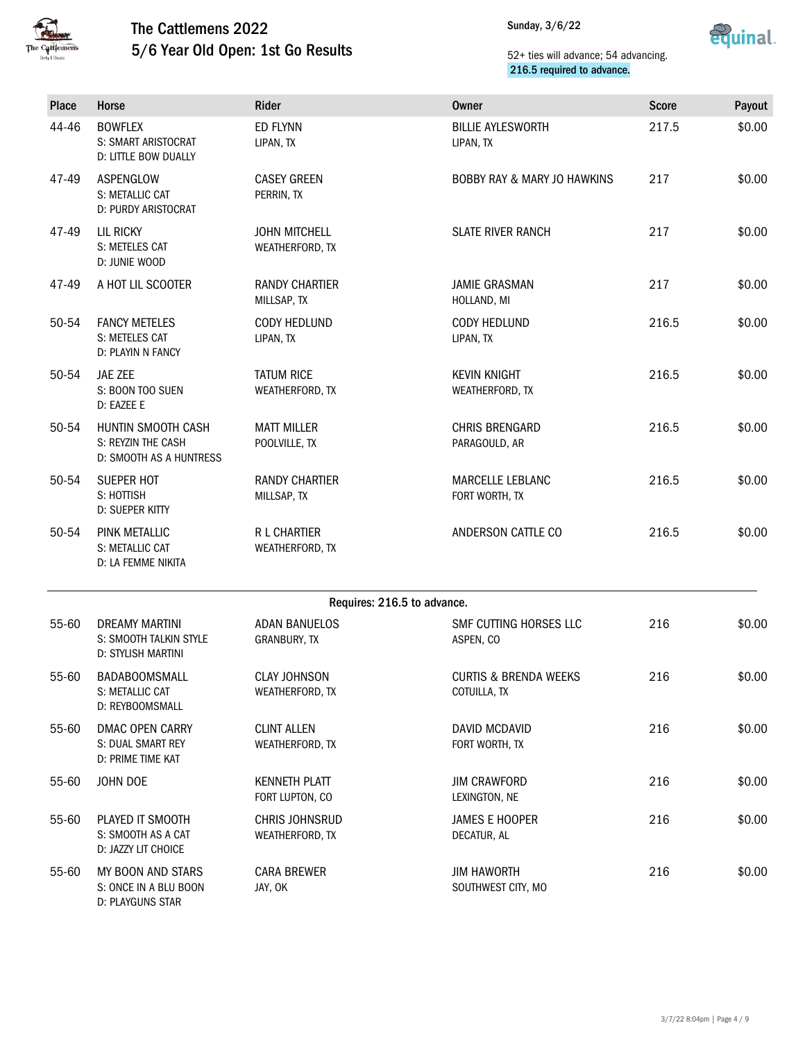



| Place | Horse                                                                        | Rider                                    | <b>Owner</b>                                     | <b>Score</b> | Payout |
|-------|------------------------------------------------------------------------------|------------------------------------------|--------------------------------------------------|--------------|--------|
| 44-46 | <b>BOWFLEX</b><br>S: SMART ARISTOCRAT<br>D: LITTLE BOW DUALLY                | <b>ED FLYNN</b><br>LIPAN, TX             | <b>BILLIE AYLESWORTH</b><br>LIPAN, TX            | 217.5        | \$0.00 |
| 47-49 | ASPENGLOW<br>S: METALLIC CAT<br>D: PURDY ARISTOCRAT                          | <b>CASEY GREEN</b><br>PERRIN, TX         | <b>BOBBY RAY &amp; MARY JO HAWKINS</b>           | 217          | \$0.00 |
| 47-49 | <b>LIL RICKY</b><br>S: METELES CAT<br>D: JUNIE WOOD                          | <b>JOHN MITCHELL</b><br>WEATHERFORD, TX  | <b>SLATE RIVER RANCH</b>                         | 217          | \$0.00 |
| 47-49 | A HOT LIL SCOOTER                                                            | <b>RANDY CHARTIER</b><br>MILLSAP, TX     | <b>JAMIE GRASMAN</b><br>HOLLAND, MI              | 217          | \$0.00 |
| 50-54 | <b>FANCY METELES</b><br>S: METELES CAT<br>D: PLAYIN N FANCY                  | CODY HEDLUND<br>LIPAN, TX                | CODY HEDLUND<br>LIPAN, TX                        | 216.5        | \$0.00 |
| 50-54 | JAE ZEE<br>S: BOON TOO SUEN<br>D: EAZEE E                                    | <b>TATUM RICE</b><br>WEATHERFORD, TX     | <b>KEVIN KNIGHT</b><br>WEATHERFORD, TX           | 216.5        | \$0.00 |
| 50-54 | HUNTIN SMOOTH CASH<br>S: REYZIN THE CASH<br>D: SMOOTH AS A HUNTRESS          | <b>MATT MILLER</b><br>POOLVILLE, TX      | <b>CHRIS BRENGARD</b><br>PARAGOULD, AR           | 216.5        | \$0.00 |
| 50-54 | SUEPER HOT<br>S: HOTTISH<br>D: SUEPER KITTY                                  | <b>RANDY CHARTIER</b><br>MILLSAP, TX     | MARCELLE LEBLANC<br>FORT WORTH, TX               | 216.5        | \$0.00 |
| 50-54 | PINK METALLIC<br>S: METALLIC CAT<br>D: LA FEMME NIKITA                       | R L CHARTIER<br>WEATHERFORD, TX          | ANDERSON CATTLE CO                               | 216.5        | \$0.00 |
|       |                                                                              |                                          | Requires: 216.5 to advance.                      |              |        |
| 55-60 | <b>DREAMY MARTINI</b><br>S: SMOOTH TALKIN STYLE<br><b>D: STYLISH MARTINI</b> | <b>ADAN BANUELOS</b><br>GRANBURY, TX     | SMF CUTTING HORSES LLC<br>ASPEN, CO              | 216          | \$0.00 |
| 55-60 | <b>BADABOOMSMALL</b><br>S: METALLIC CAT<br>D: REYBOOMSMALL                   | <b>CLAY JOHNSON</b><br>WEATHERFORD, TX   | <b>CURTIS &amp; BRENDA WEEKS</b><br>COTUILLA, TX | 216          | \$0.00 |
| 55-60 | <b>DMAC OPEN CARRY</b><br>S: DUAL SMART REY<br>D: PRIME TIME KAT             | <b>CLINT ALLEN</b><br>WEATHERFORD, TX    | DAVID MCDAVID<br>FORT WORTH, TX                  | 216          | \$0.00 |
| 55-60 | JOHN DOE                                                                     | <b>KENNETH PLATT</b><br>FORT LUPTON, CO  | <b>JIM CRAWFORD</b><br>LEXINGTON, NE             | 216          | \$0.00 |
| 55-60 | PLAYED IT SMOOTH<br>S: SMOOTH AS A CAT<br>D: JAZZY LIT CHOICE                | <b>CHRIS JOHNSRUD</b><br>WEATHERFORD, TX | <b>JAMES E HOOPER</b><br>DECATUR, AL             | 216          | \$0.00 |
| 55-60 | MY BOON AND STARS<br>S: ONCE IN A BLU BOON<br>D: PLAYGUNS STAR               | <b>CARA BREWER</b><br>JAY, OK            | <b>JIM HAWORTH</b><br>SOUTHWEST CITY, MO         | 216          | \$0.00 |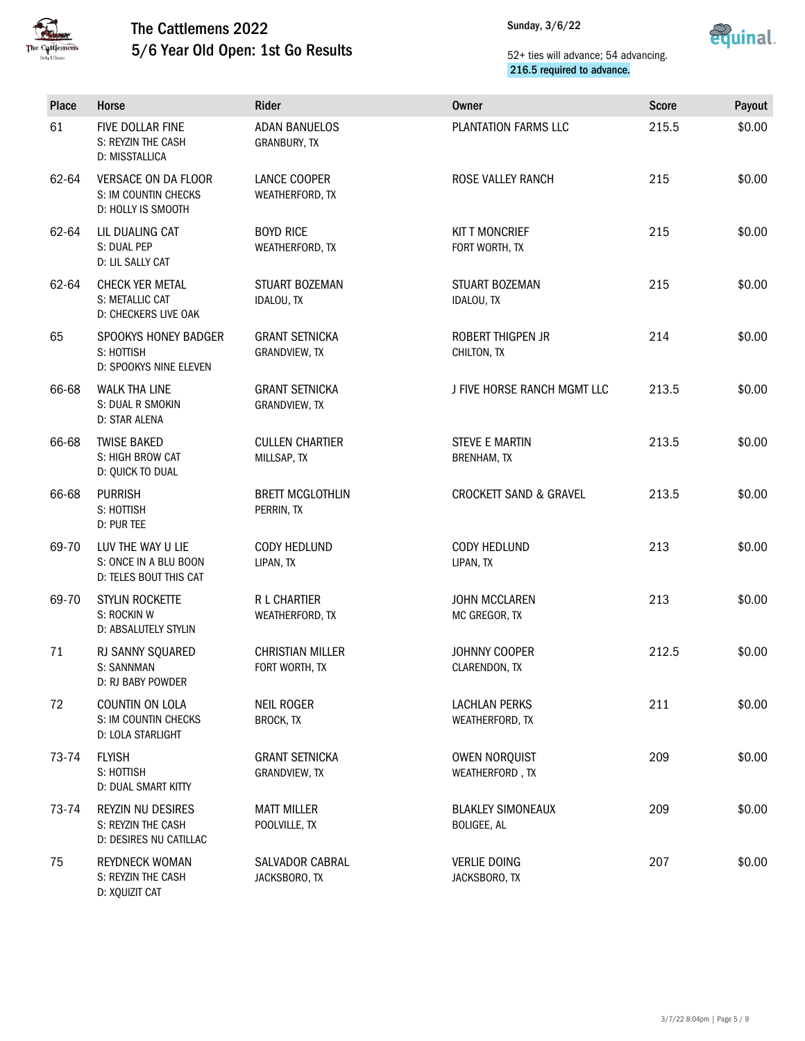



| Place | Horse                                                                | Rider                                     | Owner                                       | <b>Score</b> | Payout |
|-------|----------------------------------------------------------------------|-------------------------------------------|---------------------------------------------|--------------|--------|
| 61    | FIVE DOLLAR FINE<br>S: REYZIN THE CASH<br>D: MISSTALLICA             | <b>ADAN BANUELOS</b><br>GRANBURY, TX      | PLANTATION FARMS LLC                        | 215.5        | \$0.00 |
| 62-64 | VERSACE ON DA FLOOR<br>S: IM COUNTIN CHECKS<br>D: HOLLY IS SMOOTH    | LANCE COOPER<br>WEATHERFORD, TX           | ROSE VALLEY RANCH                           | 215          | \$0.00 |
| 62-64 | LIL DUALING CAT<br>S: DUAL PEP<br>D: LIL SALLY CAT                   | <b>BOYD RICE</b><br>WEATHERFORD, TX       | <b>KITT MONCRIEF</b><br>FORT WORTH, TX      | 215          | \$0.00 |
| 62-64 | CHECK YER METAL<br>S: METALLIC CAT<br>D: CHECKERS LIVE OAK           | STUART BOZEMAN<br>IDALOU, TX              | STUART BOZEMAN<br>IDALOU, TX                | 215          | \$0.00 |
| 65    | SPOOKYS HONEY BADGER<br>S: HOTTISH<br>D: SPOOKYS NINE ELEVEN         | <b>GRANT SETNICKA</b><br>GRANDVIEW, TX    | ROBERT THIGPEN JR<br>CHILTON, TX            | 214          | \$0.00 |
| 66-68 | <b>WALK THA LINE</b><br>S: DUAL R SMOKIN<br>D: STAR ALENA            | <b>GRANT SETNICKA</b><br>GRANDVIEW, TX    | J FIVE HORSE RANCH MGMT LLC                 | 213.5        | \$0.00 |
| 66-68 | <b>TWISE BAKED</b><br>S: HIGH BROW CAT<br>D: QUICK TO DUAL           | <b>CULLEN CHARTIER</b><br>MILLSAP, TX     | <b>STEVE E MARTIN</b><br><b>BRENHAM, TX</b> | 213.5        | \$0.00 |
| 66-68 | <b>PURRISH</b><br>S: HOTTISH<br>D: PUR TEE                           | <b>BRETT MCGLOTHLIN</b><br>PERRIN, TX     | <b>CROCKETT SAND &amp; GRAVEL</b>           | 213.5        | \$0.00 |
| 69-70 | LUV THE WAY U LIE<br>S: ONCE IN A BLU BOON<br>D: TELES BOUT THIS CAT | CODY HEDLUND<br>LIPAN, TX                 | CODY HEDLUND<br>LIPAN, TX                   | 213          | \$0.00 |
| 69-70 | STYLIN ROCKETTE<br>S: ROCKIN W<br><b>D: ABSALUTELY STYLIN</b>        | R L CHARTIER<br>WEATHERFORD, TX           | <b>JOHN MCCLAREN</b><br>MC GREGOR, TX       | 213          | \$0.00 |
| 71    | RJ SANNY SQUARED<br>S: SANNMAN<br>D: RJ BABY POWDER                  | <b>CHRISTIAN MILLER</b><br>FORT WORTH, TX | JOHNNY COOPER<br>CLARENDON, TX              | 212.5        | \$0.00 |
| 72    | COUNTIN ON LOLA<br>S: IM COUNTIN CHECKS<br>D: LOLA STARLIGHT         | <b>NEIL ROGER</b><br><b>BROCK, TX</b>     | <b>LACHLAN PERKS</b><br>WEATHERFORD, TX     | 211          | \$0.00 |
| 73-74 | <b>FLYISH</b><br>S: HOTTISH<br>D: DUAL SMART KITTY                   | <b>GRANT SETNICKA</b><br>GRANDVIEW, TX    | OWEN NORQUIST<br>WEATHERFORD, TX            | 209          | \$0.00 |
| 73-74 | REYZIN NU DESIRES<br>S: REYZIN THE CASH<br>D: DESIRES NU CATILLAC    | <b>MATT MILLER</b><br>POOLVILLE, TX       | <b>BLAKLEY SIMONEAUX</b><br>BOLIGEE, AL     | 209          | \$0.00 |
| 75    | <b>REYDNECK WOMAN</b><br>S: REYZIN THE CASH<br>D: XQUIZIT CAT        | <b>SALVADOR CABRAL</b><br>JACKSBORO, TX   | <b>VERLIE DOING</b><br>JACKSBORO, TX        | 207          | \$0.00 |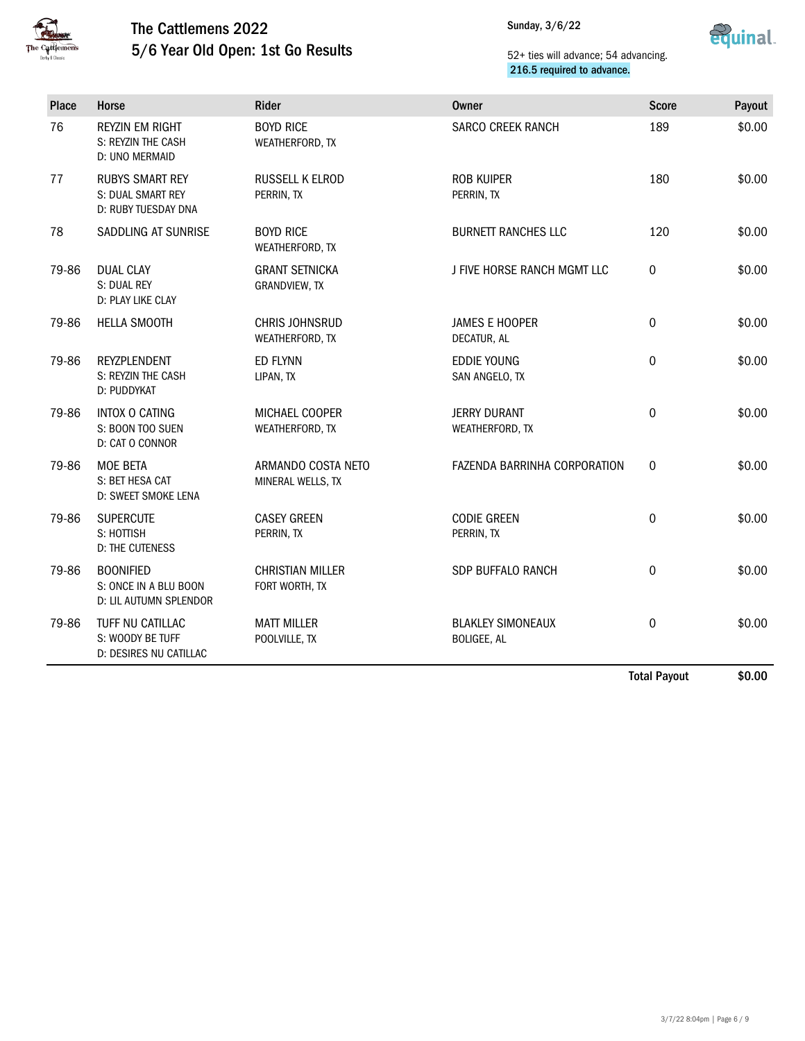

Sunday, 3/6/22



## 52+ ties will advance; 54 advancing. 216.5 required to advance.

| 76    | <b>REYZIN EM RIGHT</b><br>S: REYZIN THE CASH                        | <b>BOYD RICE</b>                          |                                                |              |        |
|-------|---------------------------------------------------------------------|-------------------------------------------|------------------------------------------------|--------------|--------|
|       | D: UNO MERMAID                                                      | WEATHERFORD, TX                           | <b>SARCO CREEK RANCH</b>                       | 189          | \$0.00 |
| 77    | <b>RUBYS SMART REY</b><br>S: DUAL SMART REY<br>D: RUBY TUESDAY DNA  | <b>RUSSELL K ELROD</b><br>PERRIN, TX      | <b>ROB KUIPER</b><br>PERRIN, TX                | 180          | \$0.00 |
| 78    | SADDLING AT SUNRISE                                                 | <b>BOYD RICE</b><br>WEATHERFORD, TX       | <b>BURNETT RANCHES LLC</b>                     | 120          | \$0.00 |
| 79-86 | <b>DUAL CLAY</b><br>S: DUAL REY<br>D: PLAY LIKE CLAY                | <b>GRANT SETNICKA</b><br>GRANDVIEW, TX    | J FIVE HORSE RANCH MGMT LLC                    | 0            | \$0.00 |
| 79-86 | <b>HELLA SMOOTH</b>                                                 | <b>CHRIS JOHNSRUD</b><br>WEATHERFORD, TX  | <b>JAMES E HOOPER</b><br>DECATUR, AL           | 0            | \$0.00 |
| 79-86 | <b>REYZPLENDENT</b><br>S: REYZIN THE CASH<br>D: PUDDYKAT            | <b>ED FLYNN</b><br>LIPAN, TX              | <b>EDDIE YOUNG</b><br>SAN ANGELO, TX           | $\Omega$     | \$0.00 |
| 79-86 | INTOX O CATING<br>S: BOON TOO SUEN<br>D: CAT O CONNOR               | MICHAEL COOPER<br>WEATHERFORD, TX         | <b>JERRY DURANT</b><br>WEATHERFORD, TX         | $\pmb{0}$    | \$0.00 |
| 79-86 | <b>MOE BETA</b><br>S: BET HESA CAT<br>D: SWEET SMOKE LENA           | ARMANDO COSTA NETO<br>MINERAL WELLS, TX   | FAZENDA BARRINHA CORPORATION                   | $\mathbf{0}$ | \$0.00 |
| 79-86 | <b>SUPERCUTE</b><br>S: HOTTISH<br><b>D: THE CUTENESS</b>            | <b>CASEY GREEN</b><br>PERRIN, TX          | <b>CODIE GREEN</b><br>PERRIN, TX               | $\mathbf 0$  | \$0.00 |
| 79-86 | <b>BOONIFIED</b><br>S: ONCE IN A BLU BOON<br>D: LIL AUTUMN SPLENDOR | <b>CHRISTIAN MILLER</b><br>FORT WORTH, TX | SDP BUFFALO RANCH                              | $\mathbf 0$  | \$0.00 |
| 79-86 | TUFF NU CATILLAC<br>S: WOODY BE TUFF<br>D: DESIRES NU CATILLAC      | <b>MATT MILLER</b><br>POOLVILLE, TX       | <b>BLAKLEY SIMONEAUX</b><br><b>BOLIGEE, AL</b> | 0            | \$0.00 |

Total Payout \$0.00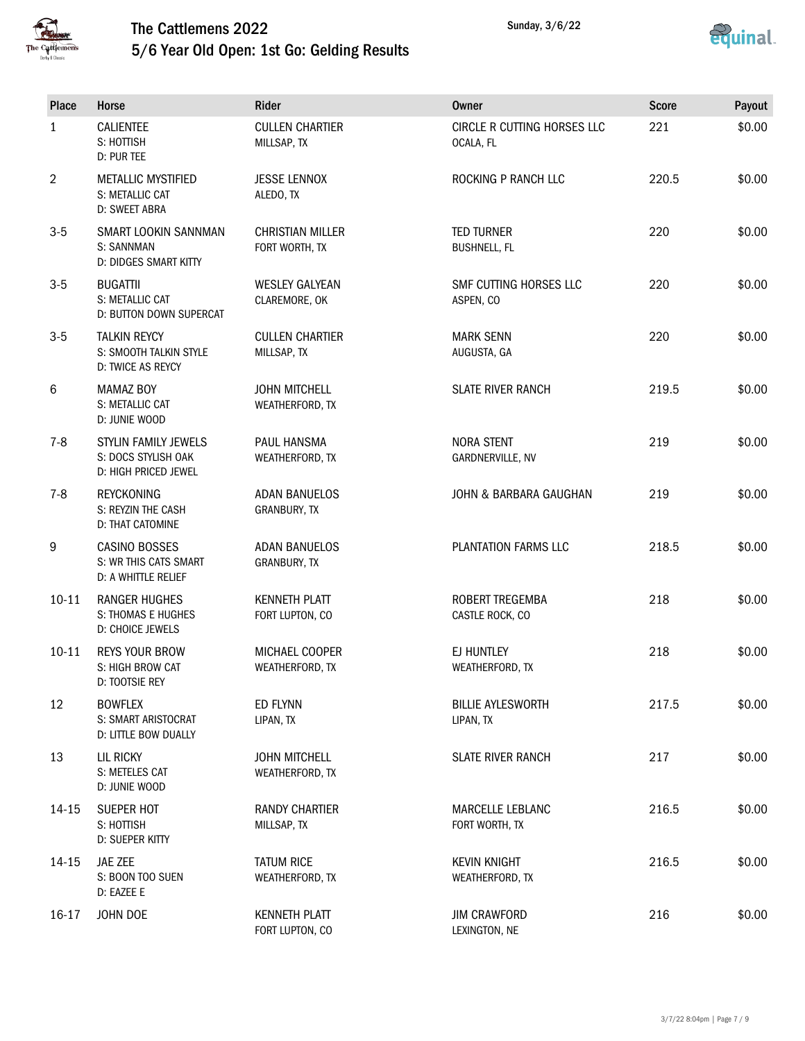



| Place          | Horse                                                               | Rider                                     | <b>Owner</b>                             | <b>Score</b> | Payout |
|----------------|---------------------------------------------------------------------|-------------------------------------------|------------------------------------------|--------------|--------|
| $\mathbf{1}$   | <b>CALIENTEE</b><br>S: HOTTISH<br>D: PUR TEE                        | <b>CULLEN CHARTIER</b><br>MILLSAP, TX     | CIRCLE R CUTTING HORSES LLC<br>OCALA, FL | 221          | \$0.00 |
| $\overline{2}$ | <b>METALLIC MYSTIFIED</b><br>S: METALLIC CAT<br>D: SWEET ABRA       | <b>JESSE LENNOX</b><br>ALEDO, TX          | ROCKING P RANCH LLC                      | 220.5        | \$0.00 |
| $3-5$          | SMART LOOKIN SANNMAN<br>S: SANNMAN<br>D: DIDGES SMART KITTY         | <b>CHRISTIAN MILLER</b><br>FORT WORTH, TX | <b>TED TURNER</b><br><b>BUSHNELL, FL</b> | 220          | \$0.00 |
| $3-5$          | <b>BUGATTII</b><br>S: METALLIC CAT<br>D: BUTTON DOWN SUPERCAT       | <b>WESLEY GALYEAN</b><br>CLAREMORE, OK    | SMF CUTTING HORSES LLC<br>ASPEN, CO      | 220          | \$0.00 |
| $3-5$          | <b>TALKIN REYCY</b><br>S: SMOOTH TALKIN STYLE<br>D: TWICE AS REYCY  | <b>CULLEN CHARTIER</b><br>MILLSAP, TX     | <b>MARK SENN</b><br>AUGUSTA, GA          | 220          | \$0.00 |
| 6              | <b>MAMAZ BOY</b><br>S: METALLIC CAT<br>D: JUNIE WOOD                | <b>JOHN MITCHELL</b><br>WEATHERFORD, TX   | <b>SLATE RIVER RANCH</b>                 | 219.5        | \$0.00 |
| $7 - 8$        | STYLIN FAMILY JEWELS<br>S: DOCS STYLISH OAK<br>D: HIGH PRICED JEWEL | PAUL HANSMA<br>WEATHERFORD, TX            | <b>NORA STENT</b><br>GARDNERVILLE, NV    | 219          | \$0.00 |
| $7 - 8$        | <b>REYCKONING</b><br>S: REYZIN THE CASH<br>D: THAT CATOMINE         | <b>ADAN BANUELOS</b><br>GRANBURY, TX      | JOHN & BARBARA GAUGHAN                   | 219          | \$0.00 |
| 9              | CASINO BOSSES<br>S: WR THIS CATS SMART<br>D: A WHITTLE RELIEF       | <b>ADAN BANUELOS</b><br>GRANBURY, TX      | PLANTATION FARMS LLC                     | 218.5        | \$0.00 |
| $10 - 11$      | <b>RANGER HUGHES</b><br>S: THOMAS E HUGHES<br>D: CHOICE JEWELS      | <b>KENNETH PLATT</b><br>FORT LUPTON, CO   | ROBERT TREGEMBA<br>CASTLE ROCK, CO       | 218          | \$0.00 |
| $10 - 11$      | <b>REYS YOUR BROW</b><br>S: HIGH BROW CAT<br>D: TOOTSIE REY         | MICHAEL COOPER<br>WEATHERFORD, TX         | EJ HUNTLEY<br>WEATHERFORD, TX            | 218          | \$0.00 |
| 12             | <b>BOWFLEX</b><br>S: SMART ARISTOCRAT<br>D: LITTLE BOW DUALLY       | ED FLYNN<br>LIPAN, TX                     | <b>BILLIE AYLESWORTH</b><br>LIPAN, TX    | 217.5        | \$0.00 |
| 13             | LIL RICKY<br>S: METELES CAT<br>D: JUNIE WOOD                        | <b>JOHN MITCHELL</b><br>WEATHERFORD, TX   | <b>SLATE RIVER RANCH</b>                 | 217          | \$0.00 |
| 14-15          | SUEPER HOT<br>S: HOTTISH<br>D: SUEPER KITTY                         | <b>RANDY CHARTIER</b><br>MILLSAP, TX      | MARCELLE LEBLANC<br>FORT WORTH, TX       | 216.5        | \$0.00 |
| 14-15          | JAE ZEE<br>S: BOON TOO SUEN<br>D: EAZEE E                           | <b>TATUM RICE</b><br>WEATHERFORD, TX      | <b>KEVIN KNIGHT</b><br>WEATHERFORD, TX   | 216.5        | \$0.00 |
| $16-17$        | JOHN DOE                                                            | <b>KENNETH PLATT</b><br>FORT LUPTON, CO   | <b>JIM CRAWFORD</b><br>LEXINGTON, NE     | 216          | \$0.00 |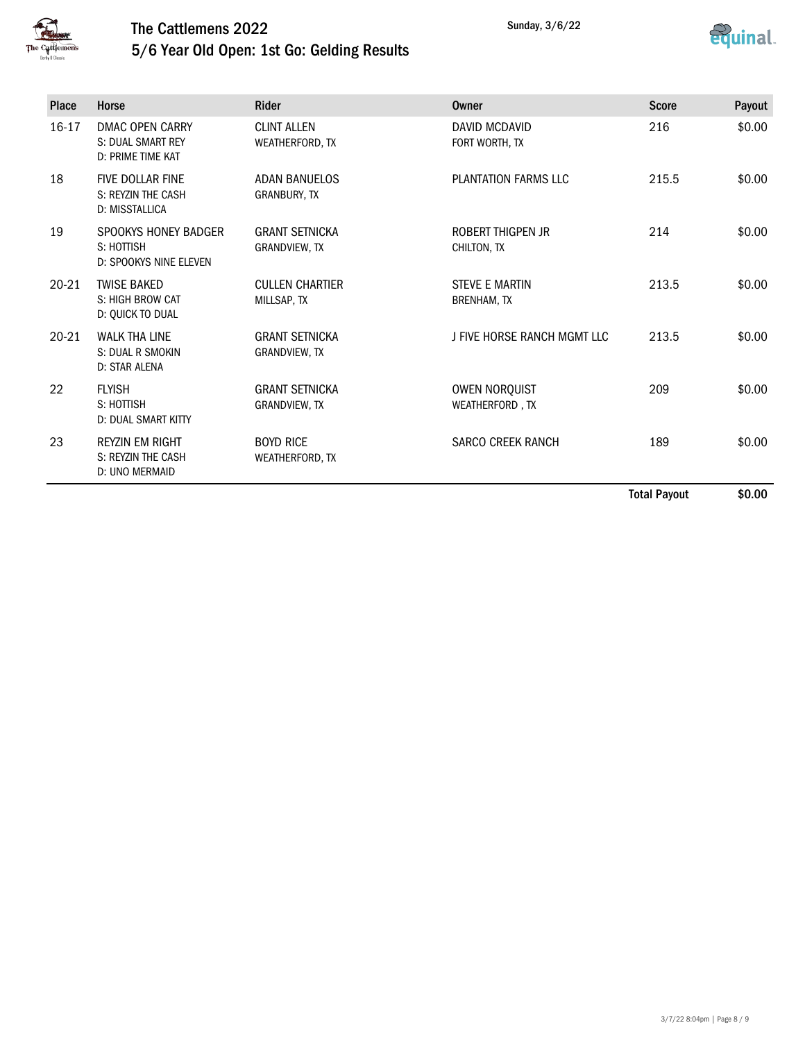



| <b>Place</b> | Horse                                                            | <b>Rider</b>                                  | Owner                                       | <b>Score</b> | Payout |
|--------------|------------------------------------------------------------------|-----------------------------------------------|---------------------------------------------|--------------|--------|
| 16-17        | DMAC OPEN CARRY<br><b>S: DUAL SMART REY</b><br>D: PRIME TIME KAT | <b>CLINT ALLEN</b><br>WEATHERFORD, TX         | DAVID MCDAVID<br>FORT WORTH, TX             | 216          | \$0.00 |
| 18           | <b>FIVE DOLLAR FINE</b><br>S: REYZIN THE CASH<br>D: MISSTALLICA  | <b>ADAN BANUELOS</b><br>GRANBURY, TX          | PLANTATION FARMS LLC                        | 215.5        | \$0.00 |
| 19           | SPOOKYS HONEY BADGER<br>S: HOTTISH<br>D: SPOOKYS NINE ELEVEN     | <b>GRANT SETNICKA</b><br><b>GRANDVIEW, TX</b> | ROBERT THIGPEN JR<br>CHILTON, TX            | 214          | \$0.00 |
| $20 - 21$    | <b>TWISE BAKED</b><br>S: HIGH BROW CAT<br>D: QUICK TO DUAL       | <b>CULLEN CHARTIER</b><br>MILLSAP, TX         | <b>STEVE E MARTIN</b><br><b>BRENHAM, TX</b> | 213.5        | \$0.00 |
| $20 - 21$    | <b>WALK THA LINE</b><br>S: DUAL R SMOKIN<br>D: STAR ALENA        | <b>GRANT SETNICKA</b><br><b>GRANDVIEW, TX</b> | J FIVE HORSE RANCH MGMT LLC                 | 213.5        | \$0.00 |
| 22           | <b>FLYISH</b><br>S: HOTTISH<br><b>D: DUAL SMART KITTY</b>        | <b>GRANT SETNICKA</b><br>GRANDVIEW, TX        | <b>OWEN NORQUIST</b><br>WEATHERFORD, TX     | 209          | \$0.00 |
| 23           | <b>REYZIN EM RIGHT</b><br>S: REYZIN THE CASH<br>D: UNO MERMAID   | <b>BOYD RICE</b><br>WEATHERFORD, TX           | <b>SARCO CREEK RANCH</b>                    | 189          | \$0.00 |

Total Payout \$0.00